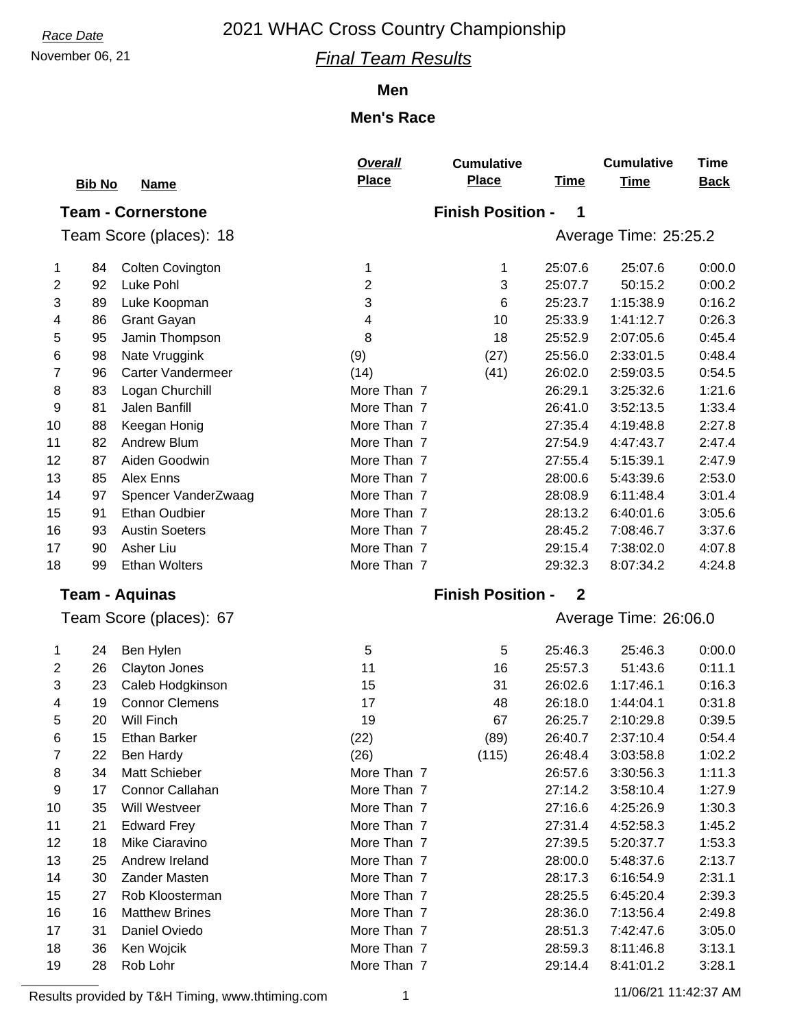### November 06, 21 *Final Team Results*

#### **Men**

### **Men's Race**

|                           |               |                          | Overall      | <b>Cumulative</b>        |              | <b>Cumulative</b>     | <b>Time</b> |  |  |  |  |  |
|---------------------------|---------------|--------------------------|--------------|--------------------------|--------------|-----------------------|-------------|--|--|--|--|--|
|                           | <b>Bib No</b> | <b>Name</b>              | <b>Place</b> | <b>Place</b>             | <b>Time</b>  | <b>Time</b>           | <b>Back</b> |  |  |  |  |  |
| <b>Team - Cornerstone</b> |               |                          |              | <b>Finish Position -</b> | 1            |                       |             |  |  |  |  |  |
|                           |               | Team Score (places): 18  |              |                          |              | Average Time: 25:25.2 |             |  |  |  |  |  |
|                           |               |                          |              |                          |              |                       |             |  |  |  |  |  |
| 1                         | 84            | <b>Colten Covington</b>  | 1            | 1                        | 25:07.6      | 25:07.6               | 0:00.0      |  |  |  |  |  |
| 2                         | 92            | Luke Pohl                | 2            | 3                        | 25:07.7      | 50:15.2               | 0:00.2      |  |  |  |  |  |
| 3                         | 89            | Luke Koopman             | 3            | 6                        | 25:23.7      | 1:15:38.9             | 0:16.2      |  |  |  |  |  |
| 4                         | 86            | <b>Grant Gayan</b>       | 4            | 10                       | 25:33.9      | 1:41:12.7             | 0:26.3      |  |  |  |  |  |
| 5                         | 95            | Jamin Thompson           | 8            | 18                       | 25:52.9      | 2:07:05.6             | 0:45.4      |  |  |  |  |  |
| 6                         | 98            | Nate Vruggink            | (9)          | (27)                     | 25:56.0      | 2:33:01.5             | 0:48.4      |  |  |  |  |  |
| 7                         | 96            | <b>Carter Vandermeer</b> | (14)         | (41)                     | 26:02.0      | 2:59:03.5             | 0:54.5      |  |  |  |  |  |
| 8                         | 83            | Logan Churchill          | More Than 7  |                          | 26:29.1      | 3:25:32.6             | 1:21.6      |  |  |  |  |  |
| 9                         | 81            | Jalen Banfill            | More Than 7  |                          | 26:41.0      | 3:52:13.5             | 1:33.4      |  |  |  |  |  |
| 10                        | 88            | Keegan Honig             | More Than 7  |                          | 27:35.4      | 4:19:48.8             | 2:27.8      |  |  |  |  |  |
| 11                        | 82            | Andrew Blum              | More Than 7  |                          | 27:54.9      | 4:47:43.7             | 2:47.4      |  |  |  |  |  |
| 12                        | 87            | Aiden Goodwin            | More Than 7  |                          | 27:55.4      | 5:15:39.1             | 2:47.9      |  |  |  |  |  |
| 13                        | 85            | Alex Enns                | More Than 7  |                          | 28:00.6      | 5:43:39.6             | 2:53.0      |  |  |  |  |  |
| 14                        | 97            | Spencer VanderZwaag      | More Than 7  |                          | 28:08.9      | 6:11:48.4             | 3:01.4      |  |  |  |  |  |
| 15                        | 91            | <b>Ethan Oudbier</b>     | More Than 7  |                          | 28:13.2      | 6:40:01.6             | 3:05.6      |  |  |  |  |  |
| 16                        | 93            | <b>Austin Soeters</b>    | More Than 7  |                          | 28:45.2      | 7:08:46.7             | 3:37.6      |  |  |  |  |  |
| 17                        | 90            | Asher Liu                | More Than 7  |                          | 29:15.4      | 7:38:02.0             | 4:07.8      |  |  |  |  |  |
| 18                        | 99            | <b>Ethan Wolters</b>     | More Than 7  |                          | 29:32.3      | 8:07:34.2             | 4:24.8      |  |  |  |  |  |
|                           |               | <b>Team - Aquinas</b>    |              | <b>Finish Position -</b> | $\mathbf{2}$ |                       |             |  |  |  |  |  |
|                           |               | Team Score (places): 67  |              |                          |              | Average Time: 26:06.0 |             |  |  |  |  |  |
| 1                         | 24            | Ben Hylen                | 5            | 5                        | 25:46.3      | 25:46.3               | 0:00.0      |  |  |  |  |  |
| 2                         | 26            | Clayton Jones            | 11           | 16                       | 25:57.3      | 51:43.6               | 0:11.1      |  |  |  |  |  |
| 3                         | 23            | Caleb Hodgkinson         | 15           | 31                       | 26:02.6      | 1:17:46.1             | 0:16.3      |  |  |  |  |  |
| 4                         | 19            | <b>Connor Clemens</b>    | 17           | 48                       | 26:18.0      | 1:44:04.1             | 0:31.8      |  |  |  |  |  |
| 5                         | 20            | Will Finch               | 19           | 67                       | 26:25.7      | 2:10:29.8             | 0:39.5      |  |  |  |  |  |
| 6                         | 15            | Ethan Barker             | (22)         | (89)                     | 26:40.7      | 2:37:10.4             | 0.54.4      |  |  |  |  |  |
| 7                         | 22            | <b>Ben Hardy</b>         | (26)         | (115)                    | 26:48.4      | 3:03:58.8             | 1:02.2      |  |  |  |  |  |
| 8                         | 34            | Matt Schieber            | More Than 7  |                          | 26:57.6      | 3:30:56.3             | 1:11.3      |  |  |  |  |  |
| 9                         | 17            | Connor Callahan          | More Than 7  |                          | 27:14.2      | 3:58:10.4             | 1:27.9      |  |  |  |  |  |
| 10                        | 35            | Will Westveer            | More Than 7  |                          | 27:16.6      | 4:25:26.9             | 1:30.3      |  |  |  |  |  |
| 11                        | 21            | <b>Edward Frey</b>       | More Than 7  |                          | 27:31.4      | 4:52:58.3             | 1:45.2      |  |  |  |  |  |
| 12                        | 18            | Mike Ciaravino           | More Than 7  |                          | 27:39.5      | 5:20:37.7             | 1:53.3      |  |  |  |  |  |
| 13                        | 25            | Andrew Ireland           | More Than 7  |                          | 28:00.0      | 5:48:37.6             | 2:13.7      |  |  |  |  |  |
| 14                        | 30            | Zander Masten            | More Than 7  |                          | 28:17.3      | 6:16:54.9             | 2:31.1      |  |  |  |  |  |
| 15                        | 27            | Rob Kloosterman          | More Than 7  |                          | 28:25.5      | 6:45:20.4             | 2:39.3      |  |  |  |  |  |
| 16                        | 16            | <b>Matthew Brines</b>    | More Than 7  |                          | 28:36.0      | 7:13:56.4             | 2:49.8      |  |  |  |  |  |
| 17                        | 31            | Daniel Oviedo            | More Than 7  |                          | 28:51.3      | 7:42:47.6             | 3:05.0      |  |  |  |  |  |
| 18                        | 36            | Ken Wojcik               | More Than 7  |                          | 28:59.3      | 8:11:46.8             | 3:13.1      |  |  |  |  |  |
| 19                        | 28            | Rob Lohr                 | More Than 7  |                          | 29:14.4      | 8:41:01.2             | 3:28.1      |  |  |  |  |  |

Results provided by T&H Timing, www.thtiming.com 1 11/06/21 11:42:37 AM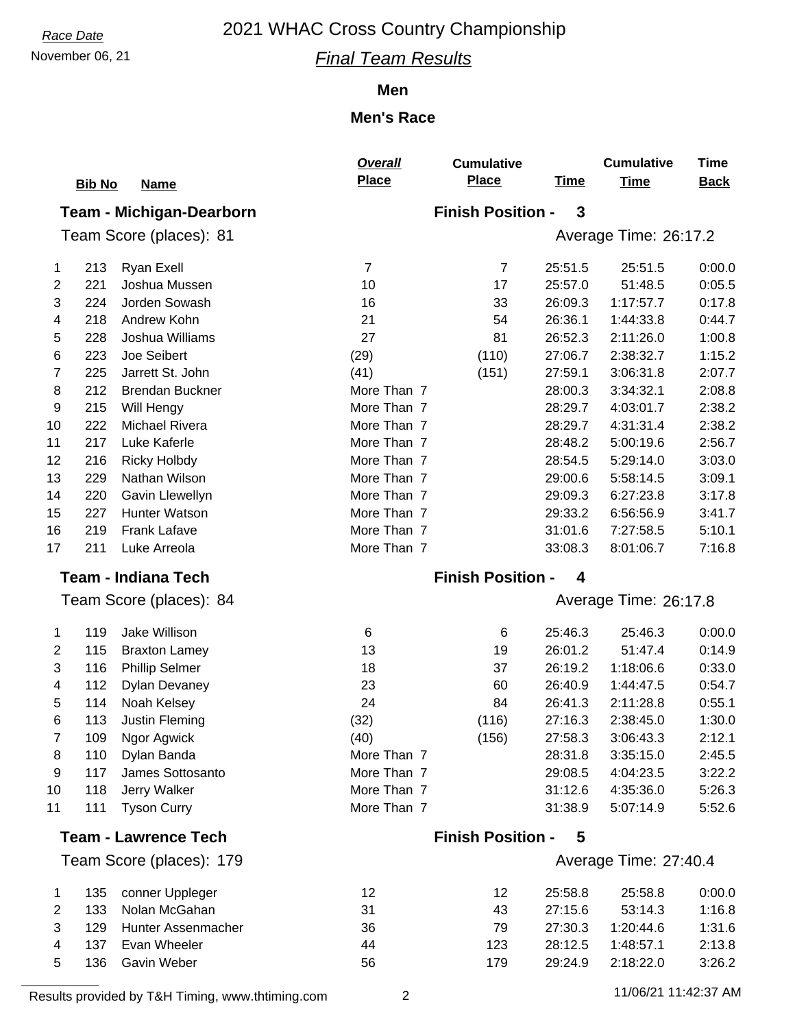### November 06, 21 *Final Team Results*

#### **Men**

### **Men's Race**

|                                 | <b>Bib No</b> | <b>Name</b>                 | Overall<br><b>Place</b> | <b>Cumulative</b><br><b>Place</b> | <b>Time</b> | <b>Cumulative</b><br><b>Time</b> | <b>Time</b><br><b>Back</b> |  |  |
|---------------------------------|---------------|-----------------------------|-------------------------|-----------------------------------|-------------|----------------------------------|----------------------------|--|--|
| <b>Team - Michigan-Dearborn</b> |               |                             |                         | <b>Finish Position -</b>          | 3           |                                  |                            |  |  |
| Team Score (places): 81         |               |                             |                         | Average Time: 26:17.2             |             |                                  |                            |  |  |
| 1                               | 213           | <b>Ryan Exell</b>           | $\overline{7}$          | $\overline{7}$                    | 25:51.5     | 25:51.5                          | 0:00.0                     |  |  |
| $\overline{c}$                  | 221           | Joshua Mussen               | 10                      | 17                                | 25:57.0     | 51:48.5                          | 0:05.5                     |  |  |
| 3                               | 224           | Jorden Sowash               | 16                      | 33                                | 26:09.3     | 1:17:57.7                        | 0:17.8                     |  |  |
| 4                               | 218           | Andrew Kohn                 | 21                      | 54                                | 26:36.1     | 1:44:33.8                        | 0:44.7                     |  |  |
| 5                               | 228           | Joshua Williams             | 27                      | 81                                | 26:52.3     | 2:11:26.0                        | 1:00.8                     |  |  |
| 6                               | 223           | Joe Seibert                 | (29)                    | (110)                             | 27:06.7     | 2:38:32.7                        | 1:15.2                     |  |  |
| $\overline{7}$                  | 225           | Jarrett St. John            | (41)                    | (151)                             | 27:59.1     | 3:06:31.8                        | 2:07.7                     |  |  |
| 8                               | 212           | <b>Brendan Buckner</b>      | More Than 7             |                                   | 28:00.3     | 3:34:32.1                        | 2:08.8                     |  |  |
| 9                               | 215           | Will Hengy                  | More Than 7             |                                   | 28:29.7     | 4:03:01.7                        | 2:38.2                     |  |  |
| 10                              | 222           | <b>Michael Rivera</b>       | More Than 7             |                                   | 28:29.7     | 4:31:31.4                        | 2:38.2                     |  |  |
| 11                              | 217           | Luke Kaferle                | More Than 7             |                                   | 28:48.2     | 5:00:19.6                        | 2:56.7                     |  |  |
| 12                              | 216           | <b>Ricky Holbdy</b>         | More Than 7             |                                   | 28:54.5     | 5:29:14.0                        | 3:03.0                     |  |  |
| 13                              | 229           | Nathan Wilson               | More Than 7             |                                   | 29:00.6     | 5:58:14.5                        | 3:09.1                     |  |  |
| 14                              | 220           | Gavin Llewellyn             | More Than 7             |                                   | 29:09.3     | 6:27:23.8                        | 3:17.8                     |  |  |
| 15                              | 227           | Hunter Watson               | More Than 7             |                                   | 29:33.2     | 6:56:56.9                        | 3:41.7                     |  |  |
| 16                              | 219           | <b>Frank Lafave</b>         | More Than 7             |                                   | 31:01.6     | 7:27:58.5                        | 5:10.1                     |  |  |
| 17                              | 211           | Luke Arreola                | More Than 7             |                                   | 33:08.3     | 8:01:06.7                        | 7:16.8                     |  |  |
| <b>Team - Indiana Tech</b>      |               |                             |                         | <b>Finish Position -</b>          | 4           |                                  |                            |  |  |
| Team Score (places): 84         |               |                             |                         |                                   |             | Average Time: 26:17.8            |                            |  |  |
| 1                               | 119           | Jake Willison               | 6                       | 6                                 | 25:46.3     | 25:46.3                          | 0:00.0                     |  |  |
| $\overline{2}$                  | 115           | <b>Braxton Lamey</b>        | 13                      | 19                                | 26:01.2     | 51:47.4                          | 0:14.9                     |  |  |
| 3                               | 116           | <b>Phillip Selmer</b>       | 18                      | 37                                | 26:19.2     | 1:18:06.6                        | 0:33.0                     |  |  |
| 4                               | 112           | <b>Dylan Devaney</b>        | 23                      | 60                                | 26:40.9     | 1:44:47.5                        | 0:54.7                     |  |  |
| 5                               | 114           | Noah Kelsey                 | 24                      | 84                                | 26:41.3     | 2:11:28.8                        | 0:55.1                     |  |  |
| 6                               | 113           | Justin Fleming              | (32)                    | (116)                             | 27:16.3     | 2:38:45.0                        | 1:30.0                     |  |  |
| 7                               | 109           | Ngor Agwick                 | (40)                    | (156)                             | 27:58.3     | 3:06:43.3                        | 2:12.1                     |  |  |
| 8                               | 110           | Dylan Banda                 | More Than 7             |                                   | 28:31.8     | 3:35:15.0                        | 2:45.5                     |  |  |
| 9                               | 117           | James Sottosanto            | More Than 7             |                                   | 29:08.5     | 4:04:23.5                        | 3:22.2                     |  |  |
| 10                              | 118           | Jerry Walker                | More Than 7             |                                   | 31:12.6     | 4:35:36.0                        | 5:26.3                     |  |  |
| 11                              | 111           | <b>Tyson Curry</b>          | More Than 7             |                                   | 31:38.9     | 5:07:14.9                        | 5:52.6                     |  |  |
|                                 |               | <b>Team - Lawrence Tech</b> |                         | <b>Finish Position -</b>          | 5           |                                  |                            |  |  |
| Team Score (places): 179        |               |                             |                         |                                   |             | Average Time: 27:40.4            |                            |  |  |
| 1                               | 135           | conner Uppleger             | 12                      | 12                                | 25:58.8     | 25:58.8                          | 0:00.0                     |  |  |
| 2                               | 133           | Nolan McGahan               | 31                      | 43                                | 27:15.6     | 53:14.3                          | 1:16.8                     |  |  |
|                                 |               |                             |                         |                                   |             |                                  |                            |  |  |
| 3                               | 129           | Hunter Assenmacher          | 36                      | 79                                | 27:30.3     | 1:20:44.6                        | 1:31.6                     |  |  |
| 4                               | 137           | Evan Wheeler                | 44                      | 123                               | 28:12.5     | 1:48:57.1                        | 2:13.8                     |  |  |

Results provided by T&H Timing, www.thtiming.com 2 11/06/21 11:42:37 AM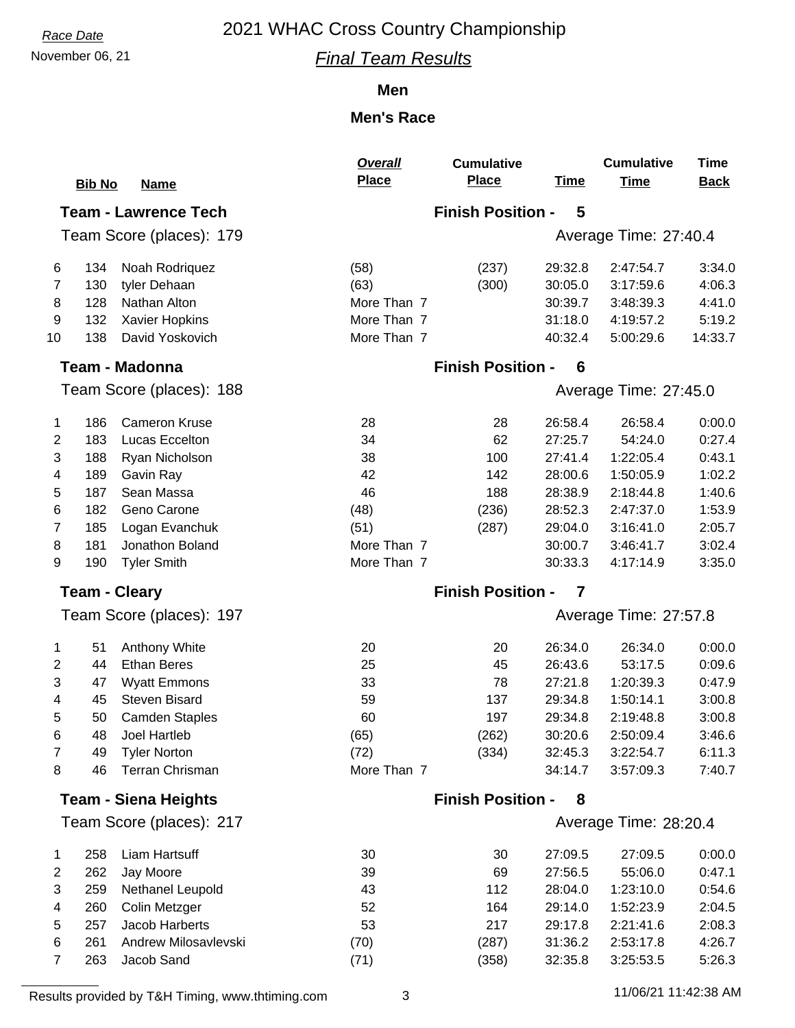### November 06, 21 *Final Team Results*

#### **Men**

### **Men's Race**

|                             |               |                                    | <b>Overall</b> | <b>Cumulative</b>             |                       | <b>Cumulative</b>      | Time             |  |  |  |
|-----------------------------|---------------|------------------------------------|----------------|-------------------------------|-----------------------|------------------------|------------------|--|--|--|
|                             | <b>Bib No</b> | <b>Name</b>                        | <b>Place</b>   | <b>Place</b>                  | <b>Time</b>           | <b>Time</b>            | <b>Back</b>      |  |  |  |
| <b>Team - Lawrence Tech</b> |               |                                    |                | <b>Finish Position -</b>      | 5                     |                        |                  |  |  |  |
| Team Score (places): 179    |               |                                    |                |                               | Average Time: 27:40.4 |                        |                  |  |  |  |
| 6                           | 134           | Noah Rodriquez                     | (58)           | (237)                         | 29:32.8               | 2:47:54.7              | 3:34.0           |  |  |  |
| 7                           | 130           | tyler Dehaan                       | (63)           | (300)                         | 30:05.0               | 3:17:59.6              | 4:06.3           |  |  |  |
| 8                           | 128           | Nathan Alton                       | More Than 7    |                               | 30:39.7               | 3:48:39.3              | 4:41.0           |  |  |  |
| 9                           | 132           | Xavier Hopkins                     | More Than 7    |                               | 31:18.0               | 4:19:57.2              | 5:19.2           |  |  |  |
| 10                          | 138           | David Yoskovich                    | More Than 7    |                               | 40:32.4               | 5:00:29.6              | 14:33.7          |  |  |  |
|                             |               | <b>Team - Madonna</b>              |                | <b>Finish Position -</b><br>6 |                       |                        |                  |  |  |  |
|                             |               | Team Score (places): 188           |                |                               |                       | Average Time: 27:45.0  |                  |  |  |  |
| 1                           | 186           | <b>Cameron Kruse</b>               | 28             | 28                            | 26:58.4               | 26:58.4                | 0:00.0           |  |  |  |
| 2                           | 183           | Lucas Eccelton                     | 34             | 62                            | 27:25.7               | 54:24.0                | 0:27.4           |  |  |  |
| 3                           | 188           | Ryan Nicholson                     | 38             | 100                           | 27:41.4               | 1:22:05.4              | 0:43.1           |  |  |  |
| 4                           | 189           | Gavin Ray                          | 42             | 142                           | 28:00.6               | 1:50:05.9              | 1:02.2           |  |  |  |
| 5                           | 187           | Sean Massa                         | 46             | 188                           | 28:38.9               | 2:18:44.8              | 1:40.6           |  |  |  |
| 6                           | 182           | Geno Carone                        | (48)           | (236)                         | 28:52.3               | 2:47:37.0              | 1:53.9           |  |  |  |
| 7                           | 185           | Logan Evanchuk                     | (51)           | (287)                         | 29:04.0               | 3:16:41.0              | 2:05.7           |  |  |  |
| 8                           | 181           | Jonathon Boland                    | More Than 7    |                               | 30:00.7               | 3:46:41.7              | 3:02.4           |  |  |  |
| 9                           | 190           | <b>Tyler Smith</b>                 | More Than 7    |                               | 30:33.3               | 4:17:14.9              | 3:35.0           |  |  |  |
|                             |               | <b>Team - Cleary</b>               |                | <b>Finish Position -</b>      | 7                     |                        |                  |  |  |  |
|                             |               | Team Score (places): 197           |                |                               |                       | Average Time: 27:57.8  |                  |  |  |  |
| 1                           | 51            | Anthony White                      | 20             | 20                            | 26:34.0               | 26:34.0                | 0:00.0           |  |  |  |
| 2                           | 44            | <b>Ethan Beres</b>                 | 25             | 45                            | 26:43.6               | 53:17.5                | 0:09.6           |  |  |  |
| 3                           | 47            | <b>Wyatt Emmons</b>                | 33             | 78                            | 27:21.8               | 1:20:39.3              | 0:47.9           |  |  |  |
| 4                           | 45            | <b>Steven Bisard</b>               | 59             | 137                           | 29:34.8               | 1:50:14.1              | 3:00.8           |  |  |  |
| 5                           | 50            | <b>Camden Staples</b>              | 60             | 197                           | 29:34.8               | 2:19:48.8              | 3:00.8           |  |  |  |
| 6                           | 48            | Joel Hartleb                       | (65)           | (262)                         | 30:20.6               | 2:50:09.4              | 3:46.6           |  |  |  |
| 7                           | 49            | <b>Tyler Norton</b>                | (72)           | (334)                         | 32:45.3               | 3:22:54.7              | 6:11.3           |  |  |  |
| 8                           | 46            | <b>Terran Chrisman</b>             | More Than 7    |                               | 34:14.7               | 3:57:09.3              | 7:40.7           |  |  |  |
| <b>Team - Siena Heights</b> |               |                                    |                | <b>Finish Position -</b>      | 8                     |                        |                  |  |  |  |
| Team Score (places): 217    |               |                                    |                |                               |                       | Average Time: 28:20.4  |                  |  |  |  |
| 1                           | 258           | Liam Hartsuff                      | 30             | 30                            | 27:09.5               | 27:09.5                | 0:00.0           |  |  |  |
| 2                           | 262           | Jay Moore                          | 39             | 69                            | 27:56.5               | 55:06.0                | 0:47.1           |  |  |  |
| 3                           | 259           | Nethanel Leupold                   | 43             | 112                           | 28:04.0               | 1:23:10.0              | 0:54.6           |  |  |  |
| 4                           |               | Colin Metzger                      | 52             | 164                           | 29:14.0               | 1:52:23.9              | 2:04.5           |  |  |  |
|                             | 260           |                                    |                |                               |                       |                        |                  |  |  |  |
| 5                           | 257           | Jacob Harberts                     | 53             | 217                           | 29:17.8               | 2:21:41.6              | 2:08.3           |  |  |  |
| 6                           | 261<br>263    | Andrew Milosavlevski<br>Jacob Sand | (70)<br>(71)   | (287)<br>(358)                | 31:36.2<br>32:35.8    | 2:53:17.8<br>3:25:53.5 | 4:26.7<br>5:26.3 |  |  |  |

Results provided by T&H Timing, www.thtiming.com 3 11/06/21 11:42:38 AM